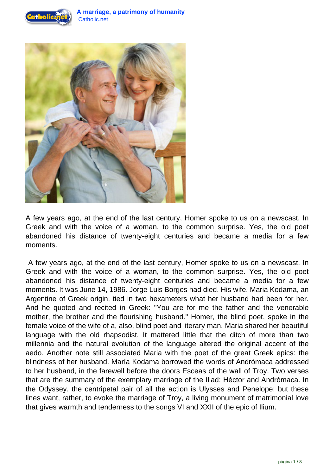



A few years ago, at the end of the last century, Homer spoke to us on a newscast. In Greek and with the voice of a woman, to the common surprise. Yes, the old poet abandoned his distance of twenty-eight centuries and became a media for a few moments.

 A few years ago, at the end of the last century, Homer spoke to us on a newscast. In Greek and with the voice of a woman, to the common surprise. Yes, the old poet abandoned his distance of twenty-eight centuries and became a media for a few moments. It was June 14, 1986. Jorge Luis Borges had died. His wife, Maria Kodama, an Argentine of Greek origin, tied in two hexameters what her husband had been for her. And he quoted and recited in Greek: "You are for me the father and the venerable mother, the brother and the flourishing husband." Homer, the blind poet, spoke in the female voice of the wife of a, also, blind poet and literary man. Maria shared her beautiful language with the old rhapsodist. It mattered little that the ditch of more than two millennia and the natural evolution of the language altered the original accent of the aedo. Another note still associated Maria with the poet of the great Greek epics: the blindness of her husband. María Kodama borrowed the words of Andrómaca addressed to her husband, in the farewell before the doors Esceas of the wall of Troy. Two verses that are the summary of the exemplary marriage of the Iliad: Héctor and Andrómaca. In the Odyssey, the centripetal pair of all the action is Ulysses and Penelope; but these lines want, rather, to evoke the marriage of Troy, a living monument of matrimonial love that gives warmth and tenderness to the songs VI and XXII of the epic of Ilium.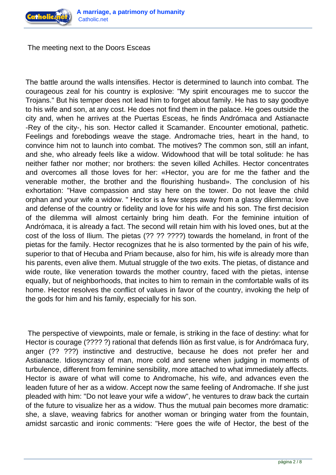

The meeting next to the Doors Esceas

The battle around the walls intensifies. Hector is determined to launch into combat. The courageous zeal for his country is explosive: "My spirit encourages me to succor the Trojans." But his temper does not lead him to forget about family. He has to say goodbye to his wife and son, at any cost. He does not find them in the palace. He goes outside the city and, when he arrives at the Puertas Esceas, he finds Andrómaca and Astianacte -Rey of the city-, his son. Hector called it Scamander. Encounter emotional, pathetic. Feelings and forebodings weave the stage. Andromache tries, heart in the hand, to convince him not to launch into combat. The motives? The common son, still an infant, and she, who already feels like a widow. Widowhood that will be total solitude: he has neither father nor mother; nor brothers: the seven killed Achilles. Hector concentrates and overcomes all those loves for her: «Hector, you are for me the father and the venerable mother, the brother and the flourishing husband». The conclusion of his exhortation: "Have compassion and stay here on the tower. Do not leave the child orphan and your wife a widow. " Hector is a few steps away from a glassy dilemma: love and defense of the country or fidelity and love for his wife and his son. The first decision of the dilemma will almost certainly bring him death. For the feminine intuition of Andrómaca, it is already a fact. The second will retain him with his loved ones, but at the cost of the loss of Ilium. The pietas (?? ?? ????) towards the homeland, in front of the pietas for the family. Hector recognizes that he is also tormented by the pain of his wife, superior to that of Hecuba and Priam because, also for him, his wife is already more than his parents, even alive them. Mutual struggle of the two exits. The pietas, of distance and wide route, like veneration towards the mother country, faced with the pietas, intense equally, but of neighborhoods, that incites to him to remain in the comfortable walls of its home. Hector resolves the conflict of values in favor of the country, invoking the help of the gods for him and his family, especially for his son.

 The perspective of viewpoints, male or female, is striking in the face of destiny: what for Hector is courage (???? ?) rational that defends Ilión as first value, is for Andrómaca fury, anger (?? ???) instinctive and destructive, because he does not prefer her and Astianacte. Idiosyncrasy of man, more cold and serene when judging in moments of turbulence, different from feminine sensibility, more attached to what immediately affects. Hector is aware of what will come to Andromache, his wife, and advances even the leaden future of her as a widow. Accept now the same feeling of Andromache. If she just pleaded with him: "Do not leave your wife a widow", he ventures to draw back the curtain of the future to visualize her as a widow. Thus the mutual pain becomes more dramatic: she, a slave, weaving fabrics for another woman or bringing water from the fountain, amidst sarcastic and ironic comments: "Here goes the wife of Hector, the best of the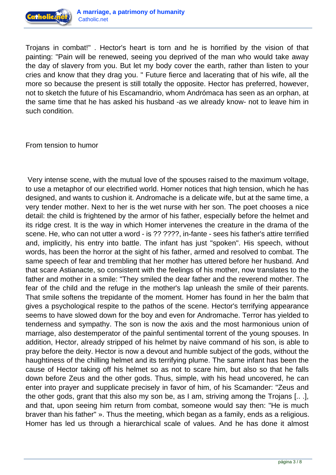

Trojans in combat!" . Hector's heart is torn and he is horrified by the vision of that painting: "Pain will be renewed, seeing you deprived of the man who would take away the day of slavery from you. But let my body cover the earth, rather than listen to your cries and know that they drag you. " Future fierce and lacerating that of his wife, all the more so because the present is still totally the opposite. Hector has preferred, however, not to sketch the future of his Escamandrio, whom Andrómaca has seen as an orphan, at the same time that he has asked his husband -as we already know- not to leave him in such condition.

From tension to humor

 Very intense scene, with the mutual love of the spouses raised to the maximum voltage, to use a metaphor of our electrified world. Homer notices that high tension, which he has designed, and wants to cushion it. Andromache is a delicate wife, but at the same time, a very tender mother. Next to her is the wet nurse with her son. The poet chooses a nice detail: the child is frightened by the armor of his father, especially before the helmet and its ridge crest. It is the way in which Homer intervenes the creature in the drama of the scene. He, who can not utter a word - is ?? ????, in-fante - sees his father's attire terrified and, implicitly, his entry into battle. The infant has just "spoken". His speech, without words, has been the horror at the sight of his father, armed and resolved to combat. The same speech of fear and trembling that her mother has uttered before her husband. And that scare Astianacte, so consistent with the feelings of his mother, now translates to the father and mother in a smile: "They smiled the dear father and the reverend mother. The fear of the child and the refuge in the mother's lap unleash the smile of their parents. That smile softens the trepidante of the moment. Homer has found in her the balm that gives a psychological respite to the pathos of the scene. Hector's terrifying appearance seems to have slowed down for the boy and even for Andromache. Terror has yielded to tenderness and sympathy. The son is now the axis and the most harmonious union of marriage, also destemperator of the painful sentimental torrent of the young spouses. In addition, Hector, already stripped of his helmet by naive command of his son, is able to pray before the deity. Hector is now a devout and humble subject of the gods, without the haughtiness of the chilling helmet and its terrifying plume. The same infant has been the cause of Hector taking off his helmet so as not to scare him, but also so that he falls down before Zeus and the other gods. Thus, simple, with his head uncovered, he can enter into prayer and supplicate precisely in favor of him, of his Scamander: "Zeus and the other gods, grant that this also my son be, as I am, striving among the Trojans [.. .], and that, upon seeing him return from combat, someone would say then: "He is much braver than his father" ». Thus the meeting, which began as a family, ends as a religious. Homer has led us through a hierarchical scale of values. And he has done it almost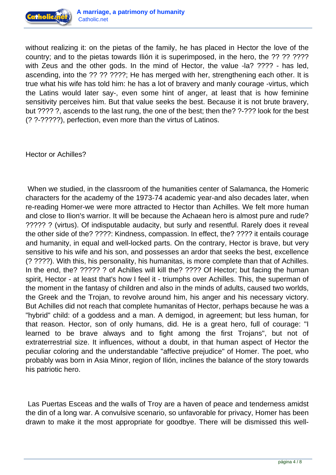

without realizing it: on the pietas of the family, he has placed in Hector the love of the country; and to the pietas towards Ilión it is superimposed, in the hero, the ?? ?? ???? with Zeus and the other gods. In the mind of Hector, the value -la? ???? - has led, ascending, into the ?? ?? ????; He has merged with her, strengthening each other. It is true what his wife has told him: he has a lot of bravery and manly courage -virtus, which the Latins would later say-, even some hint of anger, at least that is how feminine sensitivity perceives him. But that value seeks the best. Because it is not brute bravery, but ???? ?, ascends to the last rung, the one of the best; then the? ?-??? look for the best (? ?-?????), perfection, even more than the virtus of Latinos.

Hector or Achilles?

 When we studied, in the classroom of the humanities center of Salamanca, the Homeric characters for the academy of the 1973-74 academic year-and also decades later, when re-reading Homer-we were more attracted to Hector than Achilles. We felt more human and close to Ilion's warrior. It will be because the Achaean hero is almost pure and rude? ????? ? (virtus). Of indisputable audacity, but surly and resentful. Rarely does it reveal the other side of the? ????: Kindness, compassion. In effect, the? ???? it entails courage and humanity, in equal and well-locked parts. On the contrary, Hector is brave, but very sensitive to his wife and his son, and possesses an ardor that seeks the best, excellence (? ????). With this, his personality, his humanitas, is more complete than that of Achilles. In the end, the? ????? ? of Achilles will kill the? ???? Of Hector; but facing the human spirit, Hector - at least that's how I feel it - triumphs over Achilles. This, the superman of the moment in the fantasy of children and also in the minds of adults, caused two worlds, the Greek and the Trojan, to revolve around him, his anger and his necessary victory. But Achilles did not reach that complete humanitas of Hector, perhaps because he was a "hybrid" child: of a goddess and a man. A demigod, in agreement; but less human, for that reason. Hector, son of only humans, did. He is a great hero, full of courage: "I learned to be brave always and to fight among the first Trojans", but not of extraterrestrial size. It influences, without a doubt, in that human aspect of Hector the peculiar coloring and the understandable "affective prejudice" of Homer. The poet, who probably was born in Asia Minor, region of Ilión, inclines the balance of the story towards his patriotic hero.

 Las Puertas Esceas and the walls of Troy are a haven of peace and tenderness amidst the din of a long war. A convulsive scenario, so unfavorable for privacy, Homer has been drawn to make it the most appropriate for goodbye. There will be dismissed this well-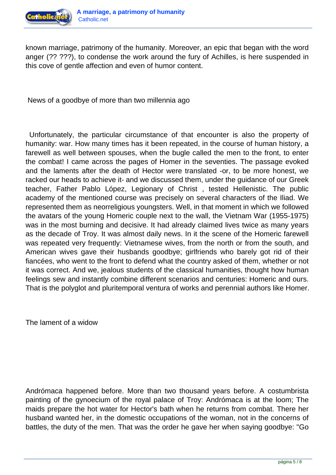

known marriage, patrimony of the humanity. Moreover, an epic that began with the word anger (?? ???), to condense the work around the fury of Achilles, is here suspended in this cove of gentle affection and even of humor content.

News of a goodbye of more than two millennia ago

 Unfortunately, the particular circumstance of that encounter is also the property of humanity: war. How many times has it been repeated, in the course of human history, a farewell as well between spouses, when the bugle called the men to the front, to enter the combat! I came across the pages of Homer in the seventies. The passage evoked and the laments after the death of Hector were translated -or, to be more honest, we racked our heads to achieve it- and we discussed them, under the guidance of our Greek teacher, Father Pablo López, Legionary of Christ , tested Hellenistic. The public academy of the mentioned course was precisely on several characters of the Iliad. We represented them as neorreligious youngsters. Well, in that moment in which we followed the avatars of the young Homeric couple next to the wall, the Vietnam War (1955-1975) was in the most burning and decisive. It had already claimed lives twice as many years as the decade of Troy. It was almost daily news. In it the scene of the Homeric farewell was repeated very frequently: Vietnamese wives, from the north or from the south, and American wives gave their husbands goodbye; girlfriends who barely got rid of their fiancées, who went to the front to defend what the country asked of them, whether or not it was correct. And we, jealous students of the classical humanities, thought how human feelings sew and instantly combine different scenarios and centuries: Homeric and ours. That is the polyglot and pluritemporal ventura of works and perennial authors like Homer.

The lament of a widow

Andrómaca happened before. More than two thousand years before. A costumbrista painting of the gynoecium of the royal palace of Troy: Andrómaca is at the loom; The maids prepare the hot water for Hector's bath when he returns from combat. There her husband wanted her, in the domestic occupations of the woman, not in the concerns of battles, the duty of the men. That was the order he gave her when saying goodbye: "Go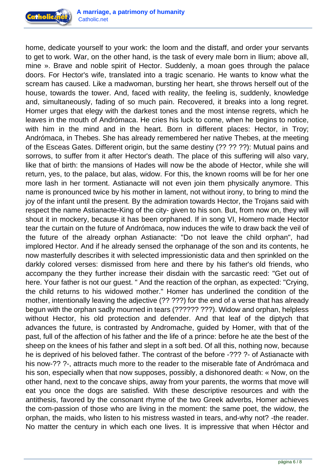

home, dedicate yourself to your work: the loom and the distaff, and order your servants to get to work. War, on the other hand, is the task of every male born in Ilium; above all, mine ». Brave and noble spirit of Hector. Suddenly, a moan goes through the palace doors. For Hector's wife, translated into a tragic scenario. He wants to know what the scream has caused. Like a madwoman, bursting her heart, she throws herself out of the house, towards the tower. And, faced with reality, the feeling is, suddenly, knowledge and, simultaneously, fading of so much pain. Recovered, it breaks into a long regret. Homer urges that elegy with the darkest tones and the most intense regrets, which he leaves in the mouth of Andrómaca. He cries his luck to come, when he begins to notice, with him in the mind and in the heart. Born in different places: Hector, in Troy; Andrómaca, in Thebes. She has already remembered her native Thebes, at the meeting of the Esceas Gates. Different origin, but the same destiny (?? ?? ??): Mutual pains and sorrows, to suffer from it after Hector's death. The place of this suffering will also vary, like that of birth: the mansions of Hades will now be the abode of Hector, while she will return, yes, to the palace, but alas, widow. For this, the known rooms will be for her one more lash in her torment. Astianacte will not even join them physically anymore. This name is pronounced twice by his mother in lament, not without irony, to bring to mind the joy of the infant until the present. By the admiration towards Hector, the Trojans said with respect the name Astianacte-King of the city- given to his son. But, from now on, they will shout it in mockery, because it has been orphaned. If in song VI, Homero made Hector tear the curtain on the future of Andrómaca, now induces the wife to draw back the veil of the future of the already orphan Astianacte: "Do not leave the child orphan", had implored Hector. And if he already sensed the orphanage of the son and its contents, he now masterfully describes it with selected impressionistic data and then sprinkled on the darkly colored verses: dismissed from here and there by his father's old friends, who accompany the they further increase their disdain with the sarcastic reed: "Get out of here. Your father is not our guest. " And the reaction of the orphan, as expected: "Crying, the child returns to his widowed mother." Homer has underlined the condition of the mother, intentionally leaving the adjective (?? ???) for the end of a verse that has already begun with the orphan sadly mourned in tears (?????? ???). Widow and orphan, helpless without Hector, his old protection and defender. And that leaf of the diptych that advances the future, is contrasted by Andromache, guided by Homer, with that of the past, full of the affection of his father and the life of a prince: before he ate the best of the sheep on the knees of his father and slept in a soft bed. Of all this, nothing now, because he is deprived of his beloved father. The contrast of the before -??? ?- of Astianacte with his now-?? ?-, attracts much more to the reader to the miserable fate of Andrómaca and his son, especially when that now supposes, possibly, a dishonored death: « Now, on the other hand, next to the concave ships, away from your parents, the worms that move will eat you once the dogs are satisfied. With these descriptive resources and with the antithesis, favored by the consonant rhyme of the two Greek adverbs, Homer achieves the com-passion of those who are living in the moment: the same poet, the widow, the orphan, the maids, who listen to his mistress wasted in tears, and-why not? -the reader. No matter the century in which each one lives. It is impressive that when Héctor and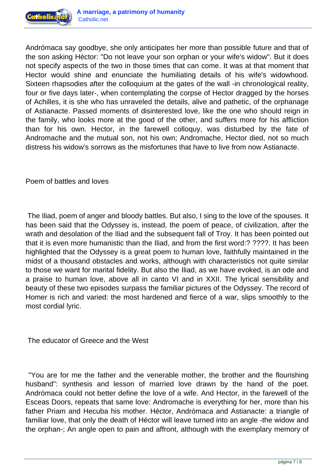

Andrómaca say goodbye, she only anticipates her more than possible future and that of the son asking Héctor: "Do not leave your son orphan or your wife's widow". But it does not specify aspects of the two in those times that can come. It was at that moment that Hector would shine and enunciate the humiliating details of his wife's widowhood. Sixteen rhapsodies after the colloquium at the gates of the wall -in chronological reality, four or five days later-, when contemplating the corpse of Hector dragged by the horses of Achilles, it is she who has unraveled the details, alive and pathetic, of the orphanage of Astianacte. Passed moments of disinterested love, like the one who should reign in the family, who looks more at the good of the other, and suffers more for his affliction than for his own. Hector, in the farewell colloquy, was disturbed by the fate of Andromache and the mutual son, not his own; Andromache, Hector died, not so much distress his widow's sorrows as the misfortunes that have to live from now Astianacte.

Poem of battles and loves

 The Iliad, poem of anger and bloody battles. But also, I sing to the love of the spouses. It has been said that the Odyssey is, instead, the poem of peace, of civilization, after the wrath and desolation of the Iliad and the subsequent fall of Troy. It has been pointed out that it is even more humanistic than the Iliad, and from the first word:? ????. It has been highlighted that the Odyssey is a great poem to human love, faithfully maintained in the midst of a thousand obstacles and works, although with characteristics not quite similar to those we want for marital fidelity. But also the Iliad, as we have evoked, is an ode and a praise to human love, above all in canto VI and in XXII. The lyrical sensibility and beauty of these two episodes surpass the familiar pictures of the Odyssey. The record of Homer is rich and varied: the most hardened and fierce of a war, slips smoothly to the most cordial lyric.

The educator of Greece and the West

 "You are for me the father and the venerable mother, the brother and the flourishing husband": synthesis and lesson of married love drawn by the hand of the poet. Andrómaca could not better define the love of a wife. And Hector, in the farewell of the Esceas Doors, repeats that same love: Andromache is everything for her, more than his father Priam and Hecuba his mother. Héctor, Andrómaca and Astianacte: a triangle of familiar love, that only the death of Héctor will leave turned into an angle -the widow and the orphan-; An angle open to pain and affront, although with the exemplary memory of